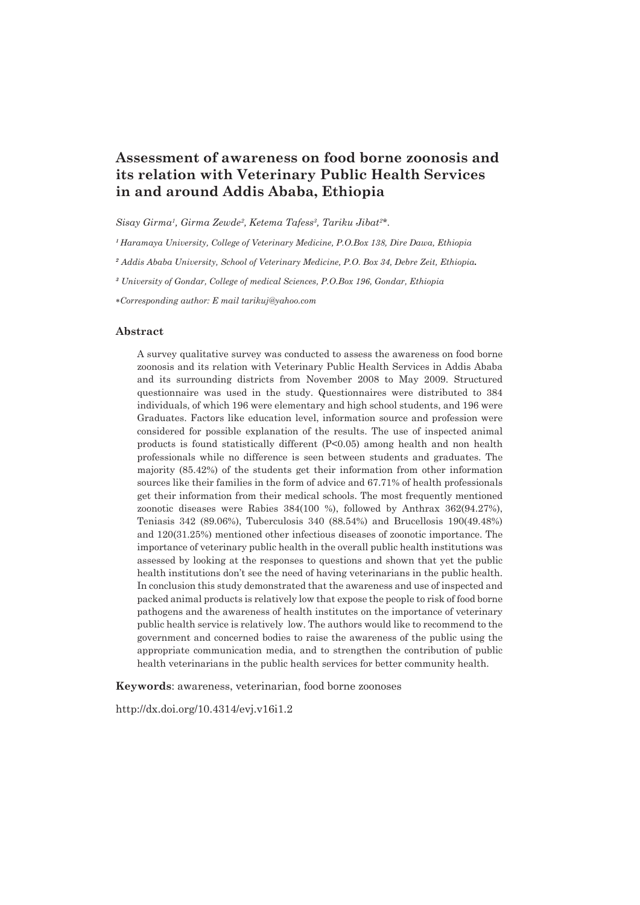# **Assessment of awareness on food borne zoonosis and its relation with Veterinary Public Health Services in and around Addis Ababa, Ethiopia**

*Sisay Girma1 , Girma Zewde2 , Ketema Tafess3 , Tariku Jibat2 \*.*

*<sup>1</sup>Haramaya University, College of Veterinary Medicine, P.O.Box 138, Dire Dawa, Ethiopia*

*<sup>2</sup> Addis Ababa University, School of Veterinary Medicine, P.O. Box 34, Debre Zeit, Ethiopia.*

*<sup>3</sup> University of Gondar, College of medical Sciences, P.O.Box 196, Gondar, Ethiopia*

∗*Corresponding author: E mail tarikuj@yahoo.com*

#### **Abstract**

A survey qualitative survey was conducted to assess the awareness on food borne zoonosis and its relation with Veterinary Public Health Services in Addis Ababa and its surrounding districts from November 2008 to May 2009. Structured questionnaire was used in the study. Questionnaires were distributed to 384 individuals, of which 196 were elementary and high school students, and 196 were Graduates. Factors like education level, information source and profession were considered for possible explanation of the results. The use of inspected animal products is found statistically different  $(P<0.05)$  among health and non health professionals while no difference is seen between students and graduates. The majority (85.42%) of the students get their information from other information sources like their families in the form of advice and 67.71% of health professionals get their information from their medical schools. The most frequently mentioned zoonotic diseases were Rabies 384(100 %), followed by Anthrax 362(94.27%), Teniasis 342 (89.06%), Tuberculosis 340 (88.54%) and Brucellosis 190(49.48%) and 120(31.25%) mentioned other infectious diseases of zoonotic importance. The importance of veterinary public health in the overall public health institutions was assessed by looking at the responses to questions and shown that yet the public health institutions don't see the need of having veterinarians in the public health. In conclusion this study demonstrated that the awareness and use of inspected and packed animal products is relatively low that expose the people to risk of food borne pathogens and the awareness of health institutes on the importance of veterinary public health service is relatively low. The authors would like to recommend to the government and concerned bodies to raise the awareness of the public using the appropriate communication media, and to strengthen the contribution of public health veterinarians in the public health services for better community health.

**Keywords**: awareness, veterinarian, food borne zoonoses

http://dx.doi.org/10.4314/evj.v16i1.2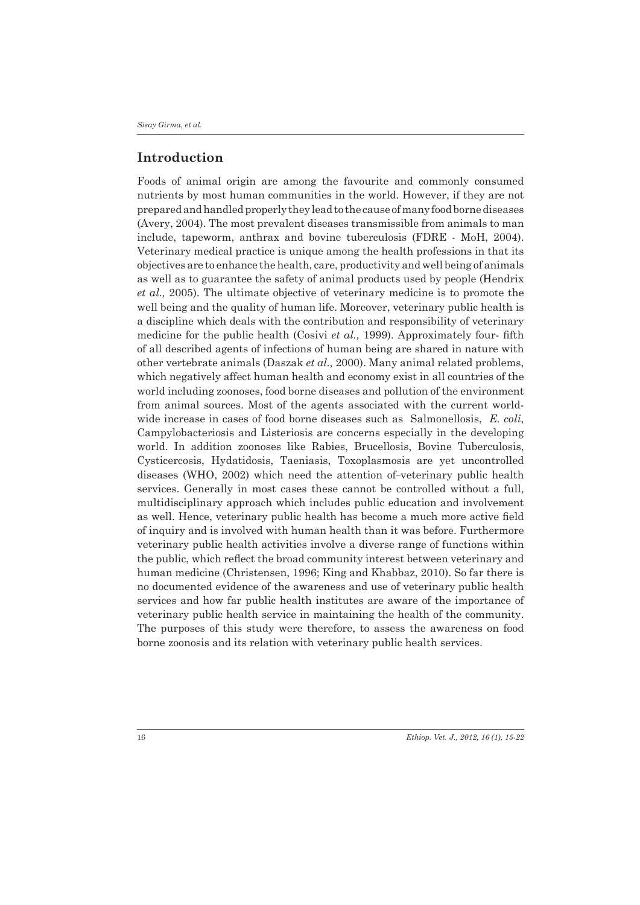# **Introduction**

Foods of animal origin are among the favourite and commonly consumed nutrients by most human communities in the world. However, if they are not prepared and handled properly they lead to the cause of many food borne diseases (Avery, 2004). The most prevalent diseases transmissible from animals to man include, tapeworm, anthrax and bovine tuberculosis (FDRE - MoH, 2004). Veterinary medical practice is unique among the health professions in that its objectives are to enhance the health, care, productivity and well being of animals as well as to guarantee the safety of animal products used by people (Hendrix *et al.,* 2005). The ultimate objective of veterinary medicine is to promote the well being and the quality of human life. Moreover, veterinary public health is a discipline which deals with the contribution and responsibility of veterinary medicine for the public health (Cosivi *et al.,* 1999). Approximately four- fifth of all described agents of infections of human being are shared in nature with other vertebrate animals (Daszak *et al.,* 2000). Many animal related problems, which negatively affect human health and economy exist in all countries of the world including zoonoses, food borne diseases and pollution of the environment from animal sources. Most of the agents associated with the current worldwide increase in cases of food borne diseases such as Salmonellosis, *E. coli*, Campylobacteriosis and Listeriosis are concerns especially in the developing world. In addition zoonoses like Rabies, Brucellosis, Bovine Tuberculosis, Cysticercosis, Hydatidosis, Taeniasis, Toxoplasmosis are yet uncontrolled diseases (WHO, 2002) which need the attention of-veterinary public health services. Generally in most cases these cannot be controlled without a full, multidisciplinary approach which includes public education and involvement as well. Hence, veterinary public health has become a much more active field of inquiry and is involved with human health than it was before. Furthermore veterinary public health activities involve a diverse range of functions within the public, which reflect the broad community interest between veterinary and human medicine (Christensen, 1996; King and Khabbaz, 2010). So far there is no documented evidence of the awareness and use of veterinary public health services and how far public health institutes are aware of the importance of veterinary public health service in maintaining the health of the community. The purposes of this study were therefore, to assess the awareness on food borne zoonosis and its relation with veterinary public health services.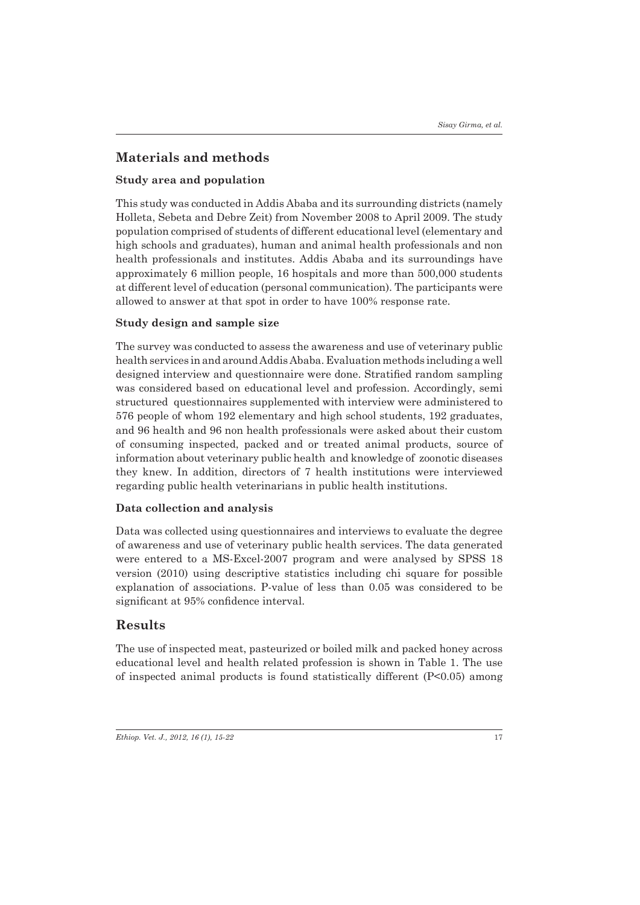# **Materials and methods**

## **Study area and population**

This study was conducted in Addis Ababa and its surrounding districts (namely Holleta, Sebeta and Debre Zeit) from November 2008 to April 2009. The study population comprised of students of different educational level (elementary and high schools and graduates), human and animal health professionals and non health professionals and institutes. Addis Ababa and its surroundings have approximately 6 million people, 16 hospitals and more than 500,000 students at different level of education (personal communication). The participants were allowed to answer at that spot in order to have 100% response rate.

## **Study design and sample size**

The survey was conducted to assess the awareness and use of veterinary public health services in and around Addis Ababa. Evaluation methods including a well designed interview and questionnaire were done. Stratified random sampling was considered based on educational level and profession. Accordingly, semi structured questionnaires supplemented with interview were administered to 576 people of whom 192 elementary and high school students, 192 graduates, and 96 health and 96 non health professionals were asked about their custom of consuming inspected, packed and or treated animal products, source of information about veterinary public health and knowledge of zoonotic diseases they knew. In addition, directors of 7 health institutions were interviewed regarding public health veterinarians in public health institutions.

### **Data collection and analysis**

Data was collected using questionnaires and interviews to evaluate the degree of awareness and use of veterinary public health services. The data generated were entered to a MS-Excel-2007 program and were analysed by SPSS 18 version (2010) using descriptive statistics including chi square for possible explanation of associations. P-value of less than 0.05 was considered to be significant at 95% confidence interval.

# **Results**

The use of inspected meat, pasteurized or boiled milk and packed honey across educational level and health related profession is shown in Table 1. The use of inspected animal products is found statistically different (P<0.05) among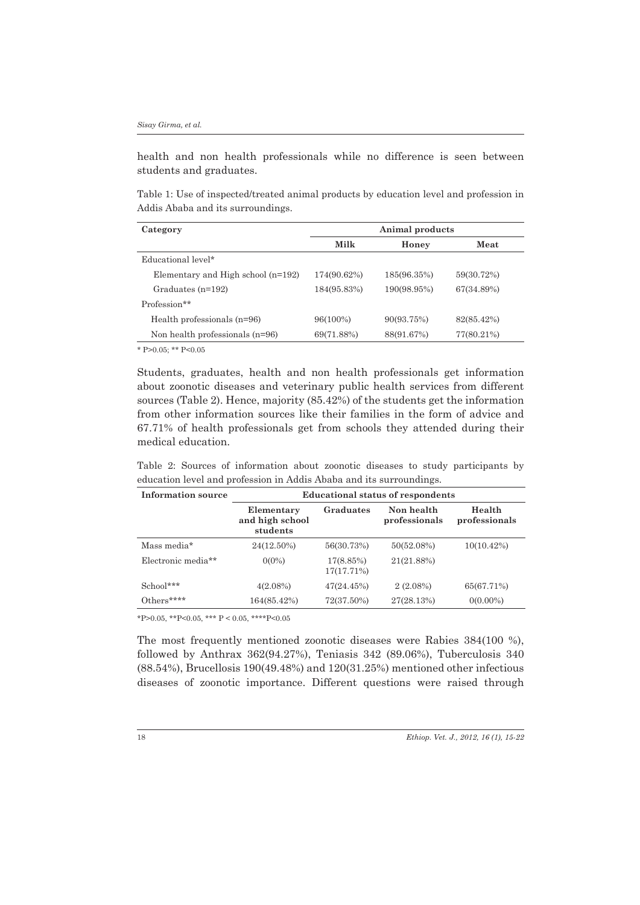health and non health professionals while no difference is seen between students and graduates.

Table 1: Use of inspected/treated animal products by education level and profession in Addis Ababa and its surroundings.

| Category                             | Animal products |             |            |  |
|--------------------------------------|-----------------|-------------|------------|--|
|                                      | Milk            | Honey       | Meat       |  |
| Educational level*                   |                 |             |            |  |
| Elementary and High school $(n=192)$ | 174(90.62%)     | 185(96.35%) | 59(30.72%) |  |
| Graduates $(n=192)$                  | 184(95.83%)     | 190(98.95%) | 67(34.89%) |  |
| Profession**                         |                 |             |            |  |
| Health professionals $(n=96)$        | 96(100%)        | 90(93.75%)  | 82(85.42%) |  |
| Non health professionals $(n=96)$    | 69(71.88%)      | 88(91.67%)  | 77(80.21%) |  |
|                                      |                 |             |            |  |

\* P $>0.05$ ; \*\* P $< 0.05$ 

Students, graduates, health and non health professionals get information about zoonotic diseases and veterinary public health services from different sources (Table 2). Hence, majority (85.42%) of the students get the information from other information sources like their families in the form of advice and 67.71% of health professionals get from schools they attended during their medical education.

Table 2: Sources of information about zoonotic diseases to study participants by education level and profession in Addis Ababa and its surroundings.

| Information source | <b>Educational status of respondents</b>  |                         |                             |                         |  |
|--------------------|-------------------------------------------|-------------------------|-----------------------------|-------------------------|--|
|                    | Elementary<br>and high school<br>students | Graduates               | Non health<br>professionals | Health<br>professionals |  |
| Mass media*        | 24(12.50%)                                | 56(30.73%)              | 50(52.08%)                  | $10(10.42\%)$           |  |
| Electronic media** | $0(0\%)$                                  | 17(8.85%)<br>17(17.71%) | 21(21.88%)                  |                         |  |
| School***          | 4(2.08%)                                  | 47(24.45%)              | $2(2.08\%)$                 | 65(67.71%)              |  |
| Others****         | 164(85.42%)                               | 72(37.50%)              | 27(28.13%)                  | $0(0.00\%)$             |  |

\*P>0.05, \*\*P<0.05, \*\*\* P < 0.05, \*\*\*\*P<0.05

The most frequently mentioned zoonotic diseases were Rabies 384(100 %), followed by Anthrax 362(94.27%), Teniasis 342 (89.06%), Tuberculosis 340 (88.54%), Brucellosis 190(49.48%) and 120(31.25%) mentioned other infectious diseases of zoonotic importance. Different questions were raised through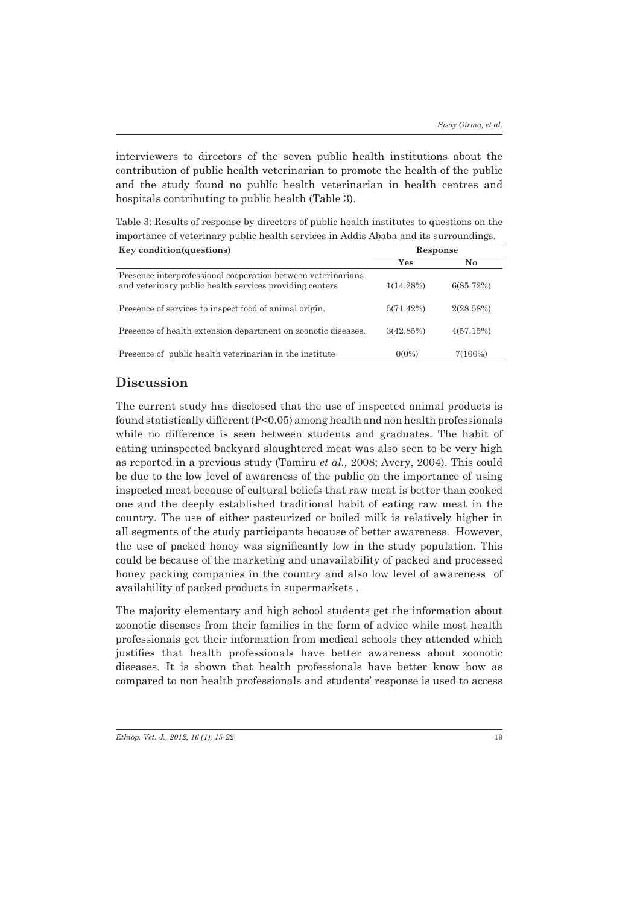interviewers to directors of the seven public health institutions about the contribution of public health veterinarian to promote the health of the public and the study found no public health veterinarian in health centres and hospitals contributing to public health (Table 3).

Table 3: Results of response by directors of public health institutes to questions on the importance of veterinary public health services in Addis Ababa and its surroundings.

| Key condition (questions)                                                                                               | Response     |           |
|-------------------------------------------------------------------------------------------------------------------------|--------------|-----------|
|                                                                                                                         | Yes          | No.       |
| Presence interprofessional cooperation between veterinarians<br>and veterinary public health services providing centers | $1(14.28\%)$ | 6(85.72%) |
| Presence of services to inspect food of animal origin.                                                                  | 5(71.42%)    | 2(28.58%) |
| Presence of health extension department on zoonotic diseases.                                                           | 3(42.85%)    | 4(57.15%) |
| Presence of public health veterinarian in the institute                                                                 | $0(0\%)$     | 7(100%)   |

# **Discussion**

The current study has disclosed that the use of inspected animal products is found statistically different (P<0.05) among health and non health professionals while no difference is seen between students and graduates. The habit of eating uninspected backyard slaughtered meat was also seen to be very high as reported in a previous study (Tamiru *et al.,* 2008; Avery, 2004). This could be due to the low level of awareness of the public on the importance of using inspected meat because of cultural beliefs that raw meat is better than cooked one and the deeply established traditional habit of eating raw meat in the country. The use of either pasteurized or boiled milk is relatively higher in all segments of the study participants because of better awareness. However, the use of packed honey was significantly low in the study population. This could be because of the marketing and unavailability of packed and processed honey packing companies in the country and also low level of awareness of availability of packed products in supermarkets .

The majority elementary and high school students get the information about zoonotic diseases from their families in the form of advice while most health professionals get their information from medical schools they attended which justifies that health professionals have better awareness about zoonotic diseases. It is shown that health professionals have better know how as compared to non health professionals and students' response is used to access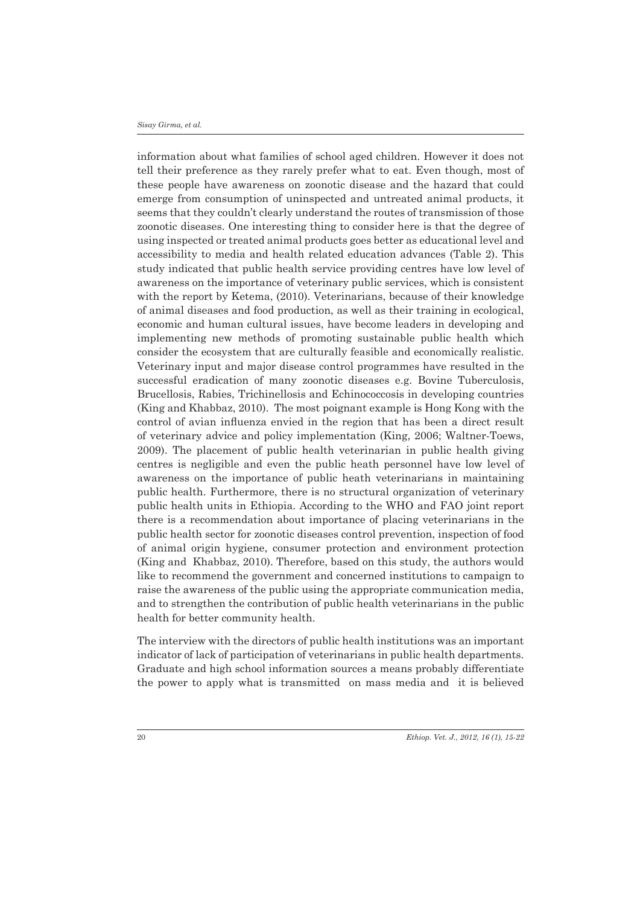#### *Sisay Girma, et al.*

information about what families of school aged children. However it does not tell their preference as they rarely prefer what to eat. Even though, most of these people have awareness on zoonotic disease and the hazard that could emerge from consumption of uninspected and untreated animal products, it seems that they couldn't clearly understand the routes of transmission of those zoonotic diseases. One interesting thing to consider here is that the degree of using inspected or treated animal products goes better as educational level and accessibility to media and health related education advances (Table 2). This study indicated that public health service providing centres have low level of awareness on the importance of veterinary public services, which is consistent with the report by Ketema, (2010). Veterinarians, because of their knowledge of animal diseases and food production, as well as their training in ecological, economic and human cultural issues, have become leaders in developing and implementing new methods of promoting sustainable public health which consider the ecosystem that are culturally feasible and economically realistic. Veterinary input and major disease control programmes have resulted in the successful eradication of many zoonotic diseases e.g. Bovine Tuberculosis, Brucellosis, Rabies, Trichinellosis and Echinococcosis in developing countries (King and Khabbaz, 2010). The most poignant example is Hong Kong with the control of avian influenza envied in the region that has been a direct result of veterinary advice and policy implementation (King, 2006; Waltner-Toews, 2009). The placement of public health veterinarian in public health giving centres is negligible and even the public heath personnel have low level of awareness on the importance of public heath veterinarians in maintaining public health. Furthermore, there is no structural organization of veterinary public health units in Ethiopia. According to the WHO and FAO joint report there is a recommendation about importance of placing veterinarians in the public health sector for zoonotic diseases control prevention, inspection of food of animal origin hygiene, consumer protection and environment protection (King and Khabbaz, 2010). Therefore, based on this study, the authors would like to recommend the government and concerned institutions to campaign to raise the awareness of the public using the appropriate communication media, and to strengthen the contribution of public health veterinarians in the public health for better community health.

The interview with the directors of public health institutions was an important indicator of lack of participation of veterinarians in public health departments. Graduate and high school information sources a means probably differentiate the power to apply what is transmitted on mass media and it is believed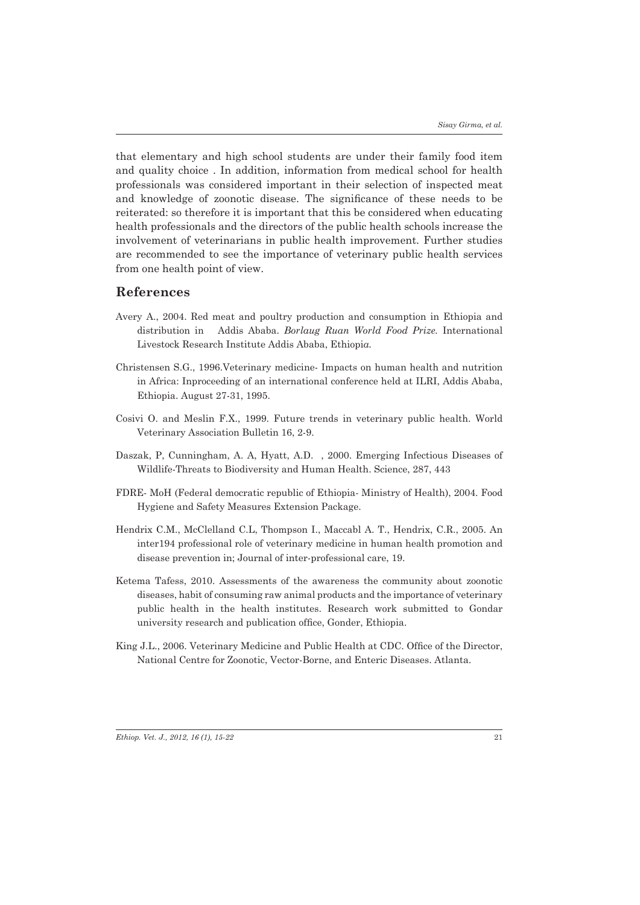that elementary and high school students are under their family food item and quality choice . In addition, information from medical school for health professionals was considered important in their selection of inspected meat and knowledge of zoonotic disease. The significance of these needs to be reiterated: so therefore it is important that this be considered when educating health professionals and the directors of the public health schools increase the involvement of veterinarians in public health improvement. Further studies are recommended to see the importance of veterinary public health services from one health point of view.

### **References**

- Avery A., 2004. Red meat and poultry production and consumption in Ethiopia and distribution in Addis Ababa. *Borlaug Ruan World Food Prize.* International Livestock Research Institute Addis Ababa, Ethiopi*a.*
- Christensen S.G., 1996.Veterinary medicine- Impacts on human health and nutrition in Africa: Inproceeding of an international conference held at ILRI, Addis Ababa, Ethiopia. August 27-31, 1995.
- Cosivi O. and Meslin F.X., 1999. Future trends in veterinary public health. World Veterinary Association Bulletin 16, 2-9.
- Daszak, P, Cunningham, A. A, Hyatt, A.D. , 2000. Emerging Infectious Diseases of Wildlife-Threats to Biodiversity and Human Health. Science, 287, 443
- FDRE- MoH (Federal democratic republic of Ethiopia- Ministry of Health), 2004. Food Hygiene and Safety Measures Extension Package.
- Hendrix C.M., McClelland C.L, Thompson I., Maccabl A. T., Hendrix, C.R., 2005. An inter194 professional role of veterinary medicine in human health promotion and disease prevention in; Journal of inter-professional care, 19.
- Ketema Tafess, 2010. Assessments of the awareness the community about zoonotic diseases, habit of consuming raw animal products and the importance of veterinary public health in the health institutes. Research work submitted to Gondar university research and publication office, Gonder, Ethiopia.
- King J.L., 2006. Veterinary Medicine and Public Health at CDC. Office of the Director, National Centre for Zoonotic, Vector-Borne, and Enteric Diseases. Atlanta.